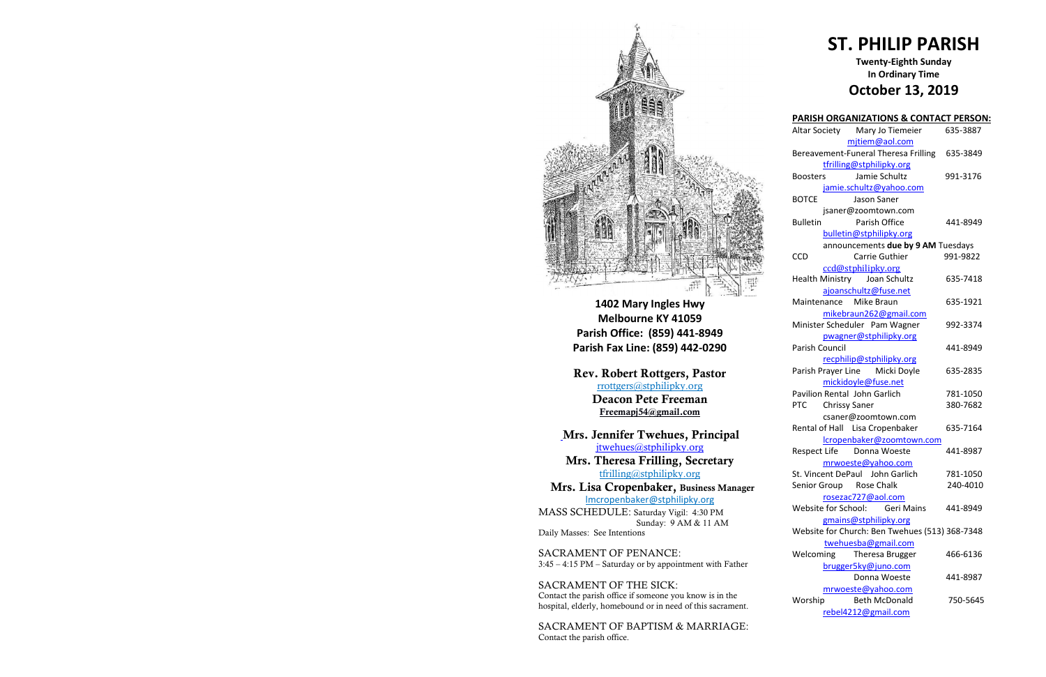

**1402 Mary Ingles Hwy Melbourne KY 41059 Parish Office: (859) 441-8949 Parish Fax Line: (859) 442-0290**

**Mrs. Theresa Frilling, Secretary**  [tfrilling@stphilipky.org](mailto:tfrilling@stphilipky.org)

**Rev. Robert Rottgers, Pastor**  [rrottgers@stphilipky.org](mailto:rrottgers@stphilipky.org) **Deacon Pete Freeman Freemapj54@gmail.com**

**Mrs. Jennifer Twehues, Principal**  [jtwehues@stphilipky.org](mailto:jtwehues@stphilipky.org)

 **Mrs. Lisa Cropenbaker, Business Manager** lmcropenbaker@stphilipky.org

MASS SCHEDULE: Saturday Vigil: 4:30 PM Sunday: 9 AM & 11 AM Daily Masses: See Intentions

SACRAMENT OF PENANCE: 3:45 – 4:15 PM – Saturday or by appointment with Father

SACRAMENT OF THE SICK: Contact the parish office if someone you know is in the hospital, elderly, homebound or in need of this sacrament.

SACRAMENT OF BAPTISM & MARRIAGE: Contact the parish office.

# **ST. PHILIP PARISH**

#### **Twenty-Eighth Sunday In Ordinary Time October 13, 2019**

|                 | <b>PARISH ORGANIZATIONS &amp; CONTACT PERSON:</b> |          |
|-----------------|---------------------------------------------------|----------|
|                 | Altar Society Mary Jo Tiemeier                    | 635-3887 |
|                 | mjtiem@aol.com                                    |          |
|                 | Bereavement-Funeral Theresa Frilling 635-3849     |          |
|                 | tfrilling@stphilipky.org                          |          |
| <b>Boosters</b> | Jamie Schultz                                     | 991-3176 |
|                 | jamie.schultz@yahoo.com                           |          |
| <b>BOTCE</b>    | Jason Saner                                       |          |
|                 | jsaner@zoomtown.com                               |          |
| <b>Bulletin</b> | Parish Office                                     | 441-8949 |
|                 | bulletin@stphilipky.org                           |          |
|                 | announcements due by 9 AM Tuesdays                |          |
| <b>CCD</b>      | Carrie Guthier                                    | 991-9822 |
|                 | ccd@stphilipky.org                                |          |
|                 | Health Ministry Joan Schultz                      | 635-7418 |
|                 | ajoanschultz@fuse.net                             |          |
|                 | Maintenance Mike Braun                            | 635-1921 |
|                 | mikebraun262@gmail.com                            |          |
|                 | Minister Scheduler Pam Wagner                     | 992-3374 |
|                 | pwagner@stphilipky.org                            |          |
| Parish Council  |                                                   | 441-8949 |
|                 | recphilip@stphilipky.org                          |          |
|                 | Parish Prayer Line Micki Doyle                    | 635-2835 |
|                 | mickidoyle@fuse.net                               |          |
|                 | Pavilion Rental John Garlich                      | 781-1050 |
| <b>PTC</b>      | <b>Chrissy Saner</b>                              | 380-7682 |
|                 | csaner@zoomtown.com                               |          |
|                 | Rental of Hall Lisa Cropenbaker                   | 635-7164 |
|                 | lcropenbaker@zoomtown.com                         |          |
|                 | Respect Life Donna Woeste                         | 441-8987 |
|                 | mrwoeste@yahoo.com                                |          |
|                 | St. Vincent DePaul John Garlich                   | 781-1050 |
|                 | Senior Group Rose Chalk                           | 240-4010 |
|                 | <u>rosezac727@aol.com</u>                         |          |
|                 | Website for School:<br><b>Geri Mains</b>          | 441-8949 |
|                 | gmains@stphilipky.org                             |          |
|                 | Website for Church: Ben Twehues (513) 368-7348    |          |
|                 | twehuesba@gmail.com                               |          |
| Welcoming       | Theresa Brugger                                   | 466-6136 |
|                 | brugger5ky@juno.com                               |          |
|                 | Donna Woeste                                      | 441-8987 |
|                 | mrwoeste@yahoo.com                                |          |
| Worship         | <b>Beth McDonald</b>                              | 750-5645 |
|                 | rebel4212@gmail.com                               |          |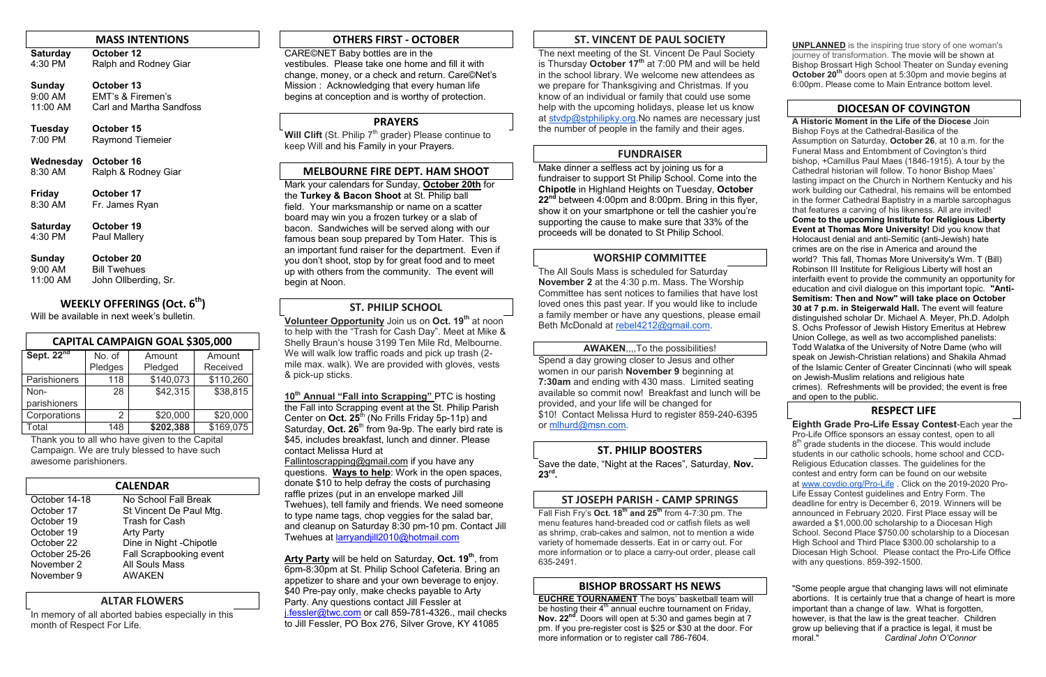#### **MASS INTENTIONS**

**Saturday October 12**<br>4:30 PM Ralph and R Ralph and Rodney Giar

| Sunday          | October 13               |
|-----------------|--------------------------|
| 9:00 AM         | EMT's & Firemen's        |
| 11:00 AM        | Carl and Martha Sandfoss |
| <b>Tuesday</b>  | October 15               |
| 7:00 PM         | <b>Raymond Tiemeier</b>  |
| Wednesday       | October 16               |
| 8:30 AM         | Ralph & Rodney Giar      |
| <b>Friday</b>   | October 17               |
| 8:30 AM         | Fr. James Ryan           |
| <b>Saturday</b> | October 19               |
| 4:30 PM         | <b>Paul Mallery</b>      |
| Sunday          | October 20               |

9:00 AM Bill Twehues

## 11:00 AM John Ollberding, Sr.

#### **WEEKLY OFFERINGS (Oct. 6 th)**

Will be available in next week's bulletin.

| <b>CAPITAL CAMPAIGN GOAL \$305,000</b> |         |           |           |  |  |  |
|----------------------------------------|---------|-----------|-----------|--|--|--|
| Sept. 22 <sup>nd</sup>                 | No. of  | Amount    | Amount    |  |  |  |
|                                        | Pledges | Pledged   | Received  |  |  |  |
| Parishioners                           | 118     | \$140,073 | \$110,260 |  |  |  |
| Non-                                   | 28      | \$42,315  | \$38,815  |  |  |  |
| parishioners                           |         |           |           |  |  |  |
| Corporations                           | 2       | \$20,000  | \$20,000  |  |  |  |
| Total                                  | 148     | \$202,388 | \$169,075 |  |  |  |

Thank you to all who have given to the Capital Campaign. We are truly blessed to have such awesome parishioners.

**Will Clift** (St. Philip 7<sup>th</sup> grader) Please continue to keep Will and his Family in your Prayers.

| <b>CALENDAR</b> |                          |  |  |  |
|-----------------|--------------------------|--|--|--|
| October 14-18   | No School Fall Break     |  |  |  |
| October 17      | St Vincent De Paul Mtg.  |  |  |  |
| October 19      | <b>Trash for Cash</b>    |  |  |  |
| October 19      | <b>Arty Party</b>        |  |  |  |
| October 22      | Dine in Night - Chipotle |  |  |  |
| October 25-26   | Fall Scrapbooking event  |  |  |  |
| November 2      | <b>All Souls Mass</b>    |  |  |  |
| November 9      | <b>AWAKEN</b>            |  |  |  |

#### **ALTAR FLOWERS**

In memory of all aborted babies especially in this month of Respect For Life.

#### **OTHERS FIRST - OCTOBER**

CARE©NET Baby bottles are in the vestibules. Please take one home and fill it with change, money, or a check and return. Care©Net's Mission : Acknowledging that every human life begins at conception and is worthy of protection.

#### **PRAYERS**

#### **MELBOURNE FIRE DEPT. HAM SHOOT**

Mark your calendars for Sunday, **October 20th** for the **Turkey & Bacon Shoot** at St. Philip ball field. Your marksmanship or name on a scatter board may win you a frozen turkey or a slab of bacon. Sandwiches will be served along with our famous bean soup prepared by Tom Hater. This is an important fund raiser for the department. Even if you don't shoot, stop by for great food and to meet up with others from the community. The event will begin at Noon.

#### **ST. PHILIP SCHOOL**

**Volunteer Opportunity** Join us on **Oct. 19th** at noon to help with the "Trash for Cash Day". Meet at Mike & Shelly Braun's house 3199 Ten Mile Rd, Melbourne. We will walk low traffic roads and pick up trash (2 mile max. walk). We are provided with gloves, vests & pick-up sticks.

**10th Annual "Fall into Scrapping"** PTC is hosting the Fall into Scrapping event at the St. Philip Parish Center on **Oct. 25**th (No Frills Friday 5p-11p) and Saturday, Oct. 26<sup>th</sup> from 9a-9p. The early bird rate is \$45, includes breakfast, lunch and dinner. Please contact Melissa Hurd at

> **EUCHRE TOURNAMENT** The boys' basketball team will be hosting their  $4<sup>th</sup>$  annual euchre tournament on Friday. **Nov. 22nd**. Doors will open at 5:30 and games begin at 7 pm. If you pre-register cost is \$25 or \$30 at the door. For more information or to register call 786-7604.

[Fallintoscrapping@gmail.com](mailto:Fallintoscrapping@gmail.com) if you have any questions. **Ways to help**: Work in the open spaces, donate \$10 to help defray the costs of purchasing raffle prizes (put in an envelope marked Jill Twehues), tell family and friends. We need someone to type name tags, chop veggies for the salad bar, and cleanup on Saturday 8:30 pm-10 pm. Contact Jill Twehues at [larryandjill2010@hotmail.com](mailto:larryandjill2010@hotmail.com) 

**Arty Party** will be held on Saturday, **Oct. 19th**, from 6pm-8:30pm at St. Philip School Cafeteria. Bring an appetizer to share and your own beverage to enjoy. \$40 Pre-pay only, make checks payable to Arty Party. Any questions contact Jill Fessler at [j.fessler@twc.com](mailto:j.fessler@twc.com) or call 859-781-4326., mail checks to Jill Fessler, PO Box 276, Silver Grove, KY 41085

#### **ST. VINCENT DE PAUL SOCIETY**

The next meeting of the St. Vincent De Paul Society is Thursday **October 17th** at 7:00 PM and will be held in the school library. We welcome new attendees as we prepare for Thanksgiving and Christmas. If you know of an individual or family that could use some help with the upcoming holidays, please let us know at [stvdp@stphilipky.org.](mailto:stvdp@stphilipky.org)No names are necessary just the number of people in the family and their ages.

#### **FUNDRAISER**

Make dinner a selfless act by joining us for a fundraiser to support St Philip School. Come into the **Chipotle** in Highland Heights on Tuesday, **October 22nd** between 4:00pm and 8:00pm. Bring in this flyer, show it on your smartphone or tell the cashier you're supporting the cause to make sure that 33% of the proceeds will be donated to St Philip School.

#### **WORSHIP COMMITTEE**

The All Souls Mass is scheduled for Saturday **November 2** at the 4:30 p.m. Mass. The Worship Committee has sent notices to families that have lost loved ones this past year. If you would like to include a family member or have any questions, please email Beth McDonald at [rebel4212@gmail.com.](mailto:rebel4212@gmail.com)

#### **AWAKEN**,,,,To the possibilities!

Spend a day growing closer to Jesus and other women in our parish **November 9** beginning at **7:30am** and ending with 430 mass. Limited seating available so commit now! Breakfast and lunch will be provided, and your life will be changed for \$10! Contact Melissa Hurd to register 859-240-6395 or [mlhurd@msn.com.](mailto:mlhurd@msn.com)

#### **ST. PHILIP BOOSTERS**

Save the date, "Night at the Races", Saturday, **Nov. 23rd .**

#### **ST JOSEPH PARISH - CAMP SPRINGS**

Fall Fish Fry's **Oct. 18th and 25th** from 4-7:30 pm. The menu features hand-breaded cod or catfish filets as well as shrimp, crab-cakes and salmon, not to mention a wide variety of homemade desserts. Eat in or carry out. For more information or to place a carry-out order, please call 635-2491.

#### **BISHOP BROSSART HS NEWS**

**UNPLANNED** is the inspiring true story of one woman's journey of transformation. The movie will be shown at Bishop Brossart High School Theater on Sunday evening **October 20th** doors open at 5:30pm and movie begins at 6:00pm. Please come to Main Entrance bottom level.

#### **DIOCESAN OF COVINGTON**

**A Historic Moment in the Life of the Diocese** Join Bishop Foys at the Cathedral-Basilica of the Assumption on Saturday, **October 26**, at 10 a.m. for the Funeral Mass and Entombment of Covington's third bishop, +Camillus Paul Maes (1846-1915). A tour by the Cathedral historian will follow. To honor Bishop Maes' lasting impact on the Church in Northern Kentucky and his work building our Cathedral, his remains will be entombed in the former Cathedral Baptistry in a marble sarcophagus that features a carving of his likeness. All are invited! **Come to the upcoming Institute for Religious Liberty Event at Thomas More University!** Did you know that Holocaust denial and anti-Semitic (anti-Jewish) hate crimes are on the rise in America and around the world? This fall, Thomas More University's Wm. T (Bill) Robinson III Institute for Religious Liberty will host an interfaith event to provide the community an opportunity for education and civil dialogue on this important topic. **"Anti-Semitism: Then and Now" will take place on October 30 at 7 p.m. in Steigerwald Hall.** The event will feature distinguished scholar Dr. Michael A. Meyer, Ph.D. Adolph S. Ochs Professor of Jewish History Emeritus at Hebrew Union College, as well as two accomplished panelists: Todd Walatka of the University of Notre Dame (who will speak on Jewish-Christian relations) and Shakila Ahmad of the Islamic Center of Greater Cincinnati (who will speak on Jewish-Muslim relations and religious hate crimes). Refreshments will be provided; the event is free and open to the public.

#### **RESPECT LIFE**

**Eighth Grade Pro-Life Essay Contest**-Each year the Pro-Life Office sponsors an essay contest, open to all 8<sup>th</sup> grade students in the diocese. This would include students in our catholic schools, home school and CCD-Religious Education classes. The guidelines for the contest and entry form can be found on our website at [www.covdio.org/Pro-Life](http://www.covdio.org/Pro-Life) . Click on the 2019-2020 Pro-Life Essay Contest guidelines and Entry Form. The deadline for entry is December 6, 2019. Winners will be announced in February 2020. First Place essay will be awarded a \$1,000.00 scholarship to a Diocesan High School. Second Place \$750.00 scholarship to a Diocesan High School and Third Place \$300.00 scholarship to a Diocesan High School. Please contact the Pro-Life Office with any questions. 859-392-1500.

"Some people argue that changing laws will not eliminate abortions. It is certainly true that a change of heart is more important than a change of law. What is forgotten, however, is that the law is the great teacher. Children grow up believing that if a practice is legal, it must be moral." *Cardinal John O'Connor*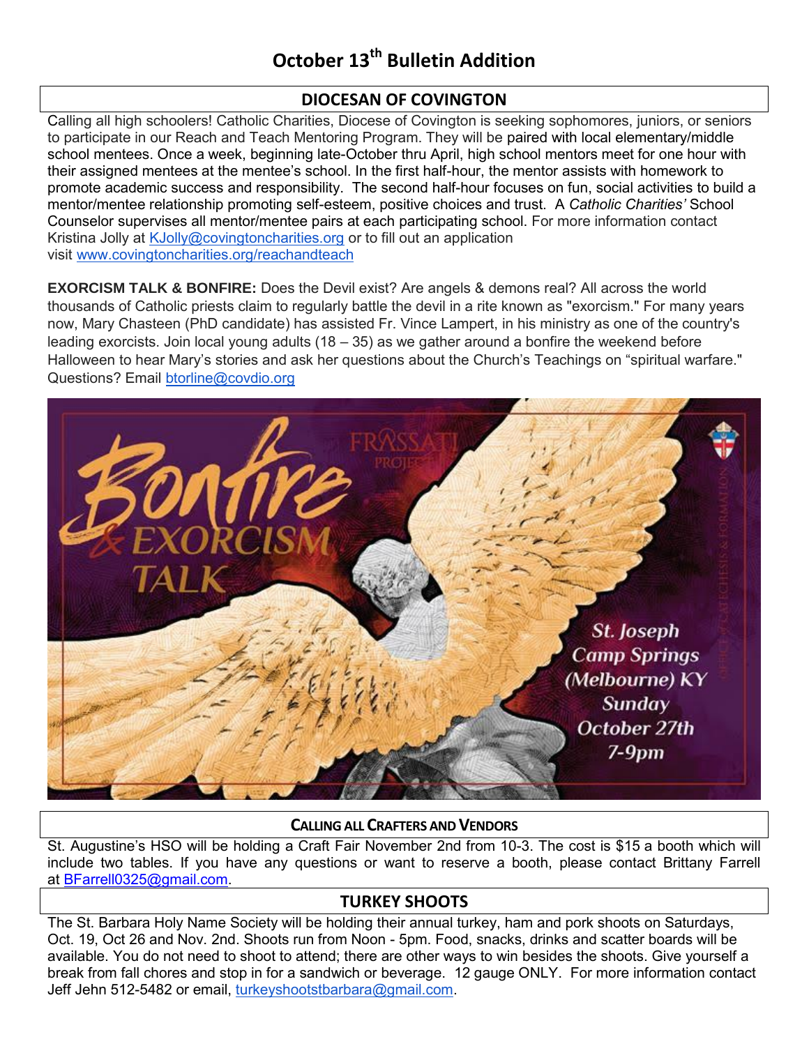#### **DIOCESAN OF COVINGTON**

Calling all high schoolers! Catholic Charities, Diocese of Covington is seeking sophomores, juniors, or seniors to participate in our Reach and Teach Mentoring Program. They will be paired with local elementary/middle school mentees. Once a week, beginning late-October thru April, high school mentors meet for one hour with their assigned mentees at the mentee's school. In the first half-hour, the mentor assists with homework to promote academic success and responsibility. The second half-hour focuses on fun, social activities to build a mentor/mentee relationship promoting self-esteem, positive choices and trust. A *Catholic Charities'* School Counselor supervises all mentor/mentee pairs at each participating school. For more information contact Kristina Jolly at [KJolly@covingtoncharities.org](mailto:KJolly@covingtoncharities.org) or to fill out an application visit [www.covingtoncharities.org/reachandteach](http://www.covingtoncharities.org/reachandteach)

**EXORCISM TALK & BONFIRE:** Does the Devil exist? Are angels & demons real? All across the world thousands of Catholic priests claim to regularly battle the devil in a rite known as "exorcism." For many years now, Mary Chasteen (PhD candidate) has assisted Fr. Vince Lampert, in his ministry as one of the country's leading exorcists. Join local young adults (18 – 35) as we gather around a bonfire the weekend before Halloween to hear Mary's stories and ask her questions about the Church's Teachings on "spiritual warfare." Questions? Email [btorline@covdio.org](mailto:btorline@covdio.org)



#### **CALLING ALL CRAFTERS AND VENDORS**

St. Augustine's HSO will be holding a Craft Fair November 2nd from 10-3. The cost is \$15 a booth which will include two tables. If you have any questions or want to reserve a booth, please contact Brittany Farrell at [BFarrell0325@gmail.com.](mailto:BFarrell0325@gmail.com)

#### **TURKEY SHOOTS**

The St. Barbara Holy Name Society will be holding their annual turkey, ham and pork shoots on Saturdays, Oct. 19, Oct 26 and Nov. 2nd. Shoots run from Noon - 5pm. Food, snacks, drinks and scatter boards will be available. You do not need to shoot to attend; there are other ways to win besides the shoots. Give yourself a break from fall chores and stop in for a sandwich or beverage. 12 gauge ONLY. For more information contact Jeff Jehn 512-5482 or email, [turkeyshootstbarbara@gmail.com.](mailto:turkeyshootstbarbara@gmail.com)